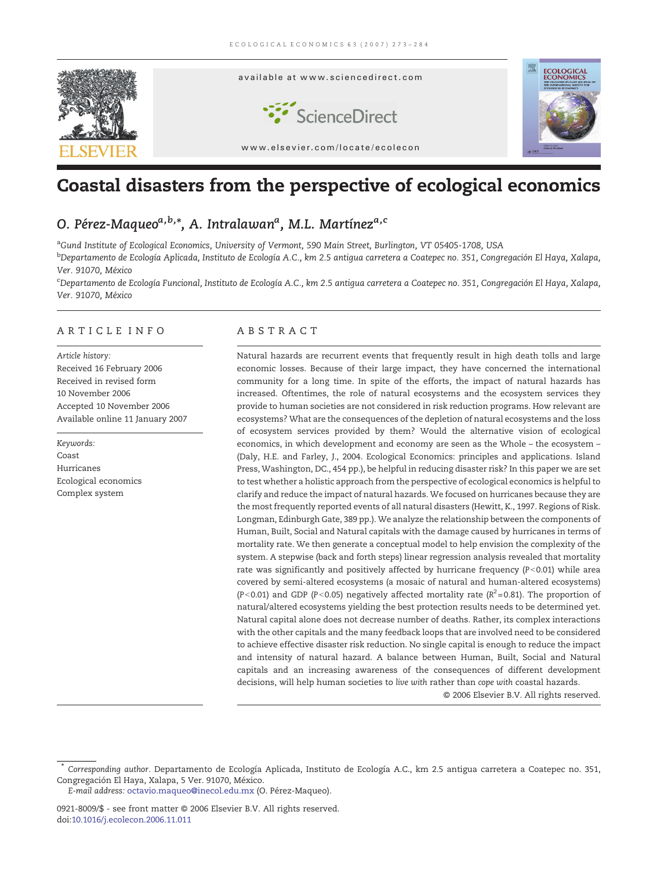

# Coastal disasters from the perspective of ecological economics

## O. Pérez-Maqueo<sup>a,b,</sup>\*, A. Intralawan<sup>a</sup>, M.L. Martínez<sup>a,c</sup>

<sup>a</sup>Gund Institute of Ecological Economics, University of Vermont, 590 Main Street, Burlington, VT 05405-1708, USA

<sup>b</sup>Departamento de Ecología Aplicada, Instituto de Ecología A.C., km 2.5 antigua carretera a Coatepec no. 351, Congregación El Haya, Xalapa, Ver. 91070, México

c Departamento de Ecología Funcional, Instituto de Ecología A.C., km 2.5 antigua carretera a Coatepec no. 351, Congregación El Haya, Xalapa, Ver. 91070, México

### ARTICLE INFO ABSTRACT

Article history: Received 16 February 2006 Received in revised form 10 November 2006 Accepted 10 November 2006 Available online 11 January 2007

Keywords: Coast Hurricanes Ecological economics Complex system

Natural hazards are recurrent events that frequently result in high death tolls and large economic losses. Because of their large impact, they have concerned the international community for a long time. In spite of the efforts, the impact of natural hazards has increased. Oftentimes, the role of natural ecosystems and the ecosystem services they provide to human societies are not considered in risk reduction programs. How relevant are ecosystems? What are the consequences of the depletion of natural ecosystems and the loss of ecosystem services provided by them? Would the alternative vision of ecological economics, in which development and economy are seen as the Whole – the ecosystem – (Daly, H.E. and Farley, J., 2004. Ecological Economics: principles and applications. Island Press, Washington, DC., 454 pp.), be helpful in reducing disaster risk? In this paper we are set to test whether a holistic approach from the perspective of ecological economics is helpful to clarify and reduce the impact of natural hazards. We focused on hurricanes because they are the most frequently reported events of all natural disasters (Hewitt, K., 1997. Regions of Risk. Longman, Edinburgh Gate, 389 pp.). We analyze the relationship between the components of Human, Built, Social and Natural capitals with the damage caused by hurricanes in terms of mortality rate. We then generate a conceptual model to help envision the complexity of the system. A stepwise (back and forth steps) linear regression analysis revealed that mortality rate was significantly and positively affected by hurricane frequency  $(P<0.01)$  while area covered by semi-altered ecosystems (a mosaic of natural and human-altered ecosystems) (P<0.01) and GDP (P<0.05) negatively affected mortality rate ( $R^2$ =0.81). The proportion of natural/altered ecosystems yielding the best protection results needs to be determined yet. Natural capital alone does not decrease number of deaths. Rather, its complex interactions with the other capitals and the many feedback loops that are involved need to be considered to achieve effective disaster risk reduction. No single capital is enough to reduce the impact and intensity of natural hazard. A balance between Human, Built, Social and Natural capitals and an increasing awareness of the consequences of different development decisions, will help human societies to live with rather than cope with coastal hazards.

© 2006 Elsevier B.V. All rights reserved.

<sup>⁎</sup> Corresponding author. Departamento de Ecología Aplicada, Instituto de Ecología A.C., km 2.5 antigua carretera a Coatepec no. 351, Congregación El Haya, Xalapa, 5 Ver. 91070, México.

E-mail address: [octavio.maqueo@inecol.edu.mx](mailto:octavio.maqueo@inecol.edu.mx) (O. Pérez-Maqueo).

<sup>0921-8009/\$ -</sup> see front matter © 2006 Elsevier B.V. All rights reserved. doi[:10.1016/j.ecolecon.2006.11.011](http://dx.doi.org/10.1016/j.ecolecon.2006.11.011)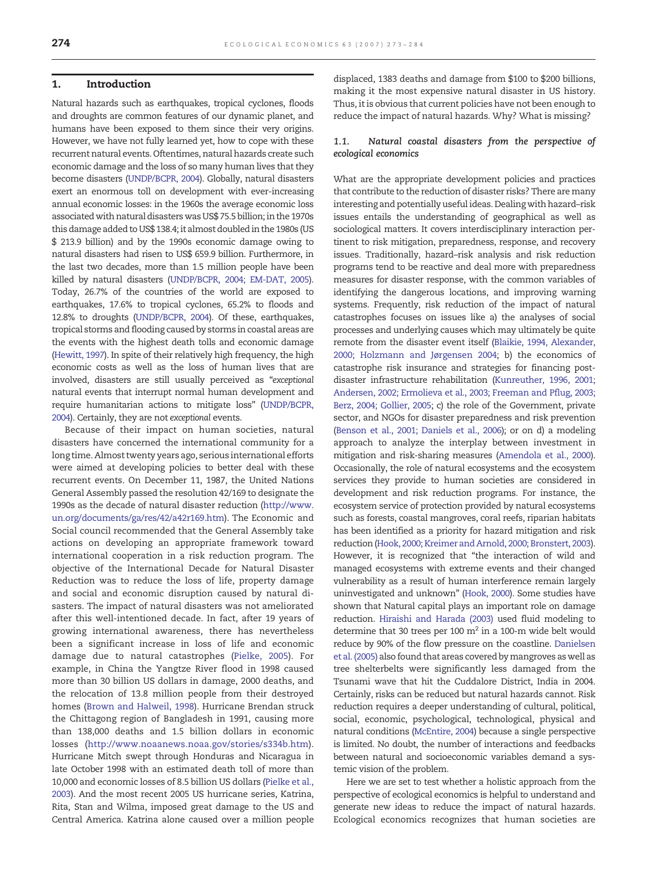### 1. Introduction

Natural hazards such as earthquakes, tropical cyclones, floods and droughts are common features of our dynamic planet, and humans have been exposed to them since their very origins. However, we have not fully learned yet, how to cope with these recurrent natural events. Oftentimes, natural hazards create such economic damage and the loss of so many human lives that they become disasters ([UNDP/BCPR, 2004](#page--1-0)). Globally, natural disasters exert an enormous toll on development with ever-increasing annual economic losses: in the 1960s the average economic loss associated with natural disasters was US\$ 75.5 billion; in the 1970s this damage added to US\$ 138.4; it almost doubled in the 1980s (US \$ 213.9 billion) and by the 1990s economic damage owing to natural disasters had risen to US\$ 659.9 billion. Furthermore, in the last two decades, more than 1.5 million people have been killed by natural disasters [\(UNDP/BCPR, 2004; EM-DAT, 2005\)](#page--1-0). Today, 26.7% of the countries of the world are exposed to earthquakes, 17.6% to tropical cyclones, 65.2% to floods and 12.8% to droughts ([UNDP/BCPR, 2004\)](#page--1-0). Of these, earthquakes, tropical storms and flooding caused by storms in coastal areas are the events with the highest death tolls and economic damage ([Hewitt, 1997](#page--1-0)). In spite of their relatively high frequency, the high economic costs as well as the loss of human lives that are involved, disasters are still usually perceived as "exceptional natural events that interrupt normal human development and require humanitarian actions to mitigate loss" [\(UNDP/BCPR,](#page--1-0) [2004](#page--1-0)). Certainly, they are not exceptional events.

Because of their impact on human societies, natural disasters have concerned the international community for a long time. Almost twenty years ago, serious international efforts were aimed at developing policies to better deal with these recurrent events. On December 11, 1987, the United Nations General Assembly passed the resolution 42/169 to designate the 1990s as the decade of natural disaster reduction [\(http://www.](http://www.un.org/documents/ga/res/42/a42r169.htm) [un.org/documents/ga/res/42/a42r169.htm\)](http://www.un.org/documents/ga/res/42/a42r169.htm). The Economic and Social council recommended that the General Assembly take actions on developing an appropriate framework toward international cooperation in a risk reduction program. The objective of the International Decade for Natural Disaster Reduction was to reduce the loss of life, property damage and social and economic disruption caused by natural disasters. The impact of natural disasters was not ameliorated after this well-intentioned decade. In fact, after 19 years of growing international awareness, there has nevertheless been a significant increase in loss of life and economic damage due to natural catastrophes ([Pielke, 2005](#page--1-0)). For example, in China the Yangtze River flood in 1998 caused more than 30 billion US dollars in damage, 2000 deaths, and the relocation of 13.8 million people from their destroyed homes [\(Brown and Halweil, 1998](#page--1-0)). Hurricane Brendan struck the Chittagong region of Bangladesh in 1991, causing more than 138,000 deaths and 1.5 billion dollars in economic losses ([http://www.noaanews.noaa.gov/stories/s334b.htm\)](http://www.noaanews.noaa.gov/stories/s334b.htm). Hurricane Mitch swept through Honduras and Nicaragua in late October 1998 with an estimated death toll of more than 10,000 and economic losses of 8.5 billion US dollars [\(Pielke et al.,](#page--1-0) [2003](#page--1-0)). And the most recent 2005 US hurricane series, Katrina, Rita, Stan and Wilma, imposed great damage to the US and Central America. Katrina alone caused over a million people displaced, 1383 deaths and damage from \$100 to \$200 billions, making it the most expensive natural disaster in US history. Thus, it is obvious that current policies have not been enough to reduce the impact of natural hazards. Why? What is missing?

### 1.1. Natural coastal disasters from the perspective of ecological economics

What are the appropriate development policies and practices that contribute to the reduction of disaster risks? There are many interesting and potentially useful ideas. Dealing with hazard–risk issues entails the understanding of geographical as well as sociological matters. It covers interdisciplinary interaction pertinent to risk mitigation, preparedness, response, and recovery issues. Traditionally, hazard–risk analysis and risk reduction programs tend to be reactive and deal more with preparedness measures for disaster response, with the common variables of identifying the dangerous locations, and improving warning systems. Frequently, risk reduction of the impact of natural catastrophes focuses on issues like a) the analyses of social processes and underlying causes which may ultimately be quite remote from the disaster event itself [\(Blaikie, 1994, Alexander,](#page--1-0) [2000; Holzmann and Jørgensen 2004](#page--1-0); b) the economics of catastrophe risk insurance and strategies for financing postdisaster infrastructure rehabilitation [\(Kunreuther, 1996, 2001;](#page--1-0) [Andersen, 2002; Ermolieva et al., 2003; Freeman and Pflug, 2003;](#page--1-0) [Berz, 2004; Gollier, 2005](#page--1-0); c) the role of the Government, private sector, and NGOs for disaster preparedness and risk prevention ([Benson et al., 2001; Daniels et al., 2006\)](#page--1-0); or on d) a modeling approach to analyze the interplay between investment in mitigation and risk-sharing measures [\(Amendola et al., 2000\)](#page--1-0). Occasionally, the role of natural ecosystems and the ecosystem services they provide to human societies are considered in development and risk reduction programs. For instance, the ecosystem service of protection provided by natural ecosystems such as forests, coastal mangroves, coral reefs, riparian habitats has been identified as a priority for hazard mitigation and risk reduction [\(Hook, 2000; Kreimer and Arnold, 2000; Bronstert, 2003\)](#page--1-0). However, it is recognized that "the interaction of wild and managed ecosystems with extreme events and their changed vulnerability as a result of human interference remain largely uninvestigated and unknown" [\(Hook, 2000](#page--1-0)). Some studies have shown that Natural capital plays an important role on damage reduction. [Hiraishi and Harada \(2003\)](#page--1-0) used fluid modeling to determine that 30 trees per 100  $m^2$  in a 100-m wide belt would reduce by 90% of the flow pressure on the coastline. [Danielsen](#page--1-0) [et al. \(2005\)](#page--1-0) also found that areas covered bymangroves as well as tree shelterbelts were significantly less damaged from the Tsunami wave that hit the Cuddalore District, India in 2004. Certainly, risks can be reduced but natural hazards cannot. Risk reduction requires a deeper understanding of cultural, political, social, economic, psychological, technological, physical and natural conditions [\(McEntire, 2004](#page--1-0)) because a single perspective is limited. No doubt, the number of interactions and feedbacks between natural and socioeconomic variables demand a systemic vision of the problem.

Here we are set to test whether a holistic approach from the perspective of ecological economics is helpful to understand and generate new ideas to reduce the impact of natural hazards. Ecological economics recognizes that human societies are